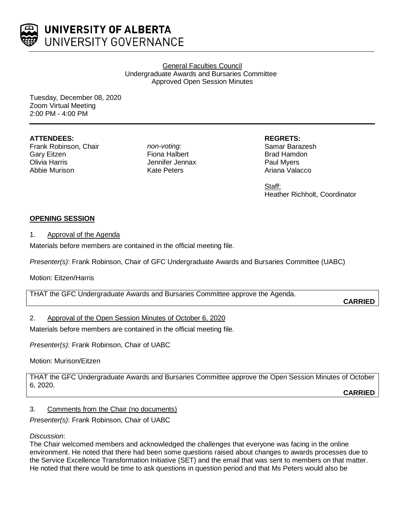

General Faculties Council Undergraduate Awards and Bursaries Committee Approved Open Session Minutes

Tuesday, December 08, 2020 Zoom Virtual Meeting 2:00 PM - 4:00 PM

## **ATTENDEES:**

Frank Robinson, Chair Gary Eitzen Olivia Harris Abbie Murison

*non-voting:* Fiona Halbert Jennifer Jennax Kate Peters

## **REGRETS:**

Samar Barazesh Brad Hamdon Paul Myers Ariana Valacco

Staff: Heather Richholt, Coordinator

# **OPENING SESSION**

## 1. Approval of the Agenda

Materials before members are contained in the official meeting file.

*Presenter(s)*: Frank Robinson, Chair of GFC Undergraduate Awards and Bursaries Committee (UABC)

## Motion: Eitzen/Harris

THAT the GFC Undergraduate Awards and Bursaries Committee approve the Agenda.

**CARRIED**

# 2. Approval of the Open Session Minutes of October 6, 2020

Materials before members are contained in the official meeting file.

*Presenter(s)*: Frank Robinson, Chair of UABC

Motion: Murison/Eitzen

THAT the GFC Undergraduate Awards and Bursaries Committee approve the Open Session Minutes of October 6, 2020.

**CARRIED**

# 3. Comments from the Chair (no documents)

*Presenter(s)*: Frank Robinson, Chair of UABC

## *Discussion*:

The Chair welcomed members and acknowledged the challenges that everyone was facing in the online environment. He noted that there had been some questions raised about changes to awards processes due to the Service Excellence Transformation Initiative (SET) and the email that was sent to members on that matter. He noted that there would be time to ask questions in question period and that Ms Peters would also be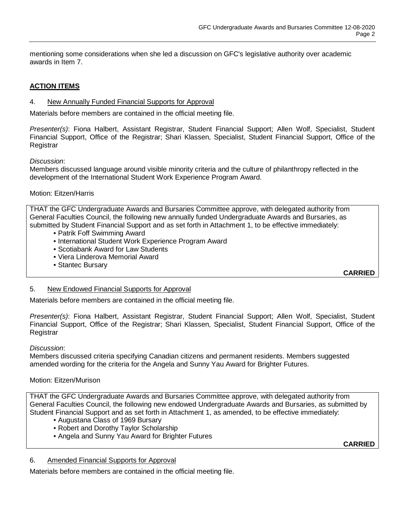mentioning some considerations when she led a discussion on GFC's legislative authority over academic awards in Item 7.

# **ACTION ITEMS**

## 4. New Annually Funded Financial Supports for Approval

Materials before members are contained in the official meeting file.

*Presenter(s)*: Fiona Halbert, Assistant Registrar, Student Financial Support; Allen Wolf, Specialist, Student Financial Support, Office of the Registrar; Shari Klassen, Specialist, Student Financial Support, Office of the Registrar

*Discussion*:

Members discussed language around visible minority criteria and the culture of philanthropy reflected in the development of the International Student Work Experience Program Award.

## Motion: Eitzen/Harris

THAT the GFC Undergraduate Awards and Bursaries Committee approve, with delegated authority from General Faculties Council, the following new annually funded Undergraduate Awards and Bursaries, as submitted by Student Financial Support and as set forth in Attachment 1, to be effective immediately:

- Patrik Foff Swimming Award
- International Student Work Experience Program Award
- Scotiabank Award for Law Students
- Viera Linderova Memorial Award
- Stantec Bursary

**CARRIED**

## 5. New Endowed Financial Supports for Approval

Materials before members are contained in the official meeting file.

*Presenter(s)*: Fiona Halbert, Assistant Registrar, Student Financial Support; Allen Wolf, Specialist, Student Financial Support, Office of the Registrar; Shari Klassen, Specialist, Student Financial Support, Office of the **Registrar** 

#### *Discussion*:

Members discussed criteria specifying Canadian citizens and permanent residents. Members suggested amended wording for the criteria for the Angela and Sunny Yau Award for Brighter Futures.

## Motion: Eitzen/Murison

THAT the GFC Undergraduate Awards and Bursaries Committee approve, with delegated authority from General Faculties Council, the following new endowed Undergraduate Awards and Bursaries, as submitted by Student Financial Support and as set forth in Attachment 1, as amended, to be effective immediately:

- Augustana Class of 1969 Bursary
- Robert and Dorothy Taylor Scholarship
- Angela and Sunny Yau Award for Brighter Futures

**CARRIED**

## 6. Amended Financial Supports for Approval

Materials before members are contained in the official meeting file.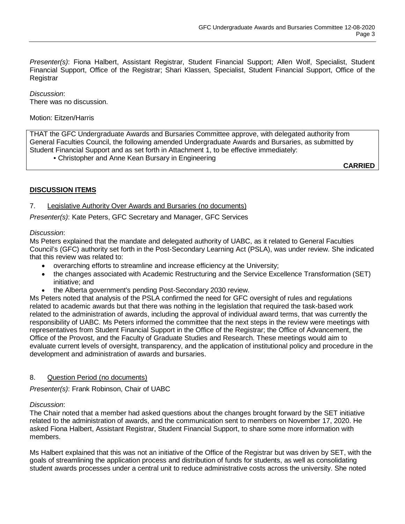*Presenter(s)*: Fiona Halbert, Assistant Registrar, Student Financial Support; Allen Wolf, Specialist, Student Financial Support, Office of the Registrar; Shari Klassen, Specialist, Student Financial Support, Office of the **Registrar** 

*Discussion*: There was no discussion.

### Motion: Eitzen/Harris

THAT the GFC Undergraduate Awards and Bursaries Committee approve, with delegated authority from General Faculties Council, the following amended Undergraduate Awards and Bursaries, as submitted by Student Financial Support and as set forth in Attachment 1, to be effective immediately:

• Christopher and Anne Kean Bursary in Engineering

**CARRIED**

## **DISCUSSION ITEMS**

## 7. Legislative Authority Over Awards and Bursaries (no documents)

*Presenter(s)*: Kate Peters, GFC Secretary and Manager, GFC Services

#### *Discussion*:

Ms Peters explained that the mandate and delegated authority of UABC, as it related to General Faculties Council's (GFC) authority set forth in the Post-Secondary Learning Act (PSLA), was under review. She indicated that this review was related to:

- overarching efforts to streamline and increase efficiency at the University;
- the changes associated with Academic Restructuring and the Service Excellence Transformation (SET) initiative; and
- the Alberta government's pending Post-Secondary 2030 review.

Ms Peters noted that analysis of the PSLA confirmed the need for GFC oversight of rules and regulations related to academic awards but that there was nothing in the legislation that required the task-based work related to the administration of awards, including the approval of individual award terms, that was currently the responsibility of UABC. Ms Peters informed the committee that the next steps in the review were meetings with representatives from Student Financial Support in the Office of the Registrar; the Office of Advancement, the Office of the Provost, and the Faculty of Graduate Studies and Research. These meetings would aim to evaluate current levels of oversight, transparency, and the application of institutional policy and procedure in the development and administration of awards and bursaries.

#### 8. Question Period (no documents)

*Presenter(s)*: Frank Robinson, Chair of UABC

#### *Discussion*:

The Chair noted that a member had asked questions about the changes brought forward by the SET initiative related to the administration of awards, and the communication sent to members on November 17, 2020. He asked Fiona Halbert, Assistant Registrar, Student Financial Support, to share some more information with members.

Ms Halbert explained that this was not an initiative of the Office of the Registrar but was driven by SET, with the goals of streamlining the application process and distribution of funds for students, as well as consolidating student awards processes under a central unit to reduce administrative costs across the university. She noted